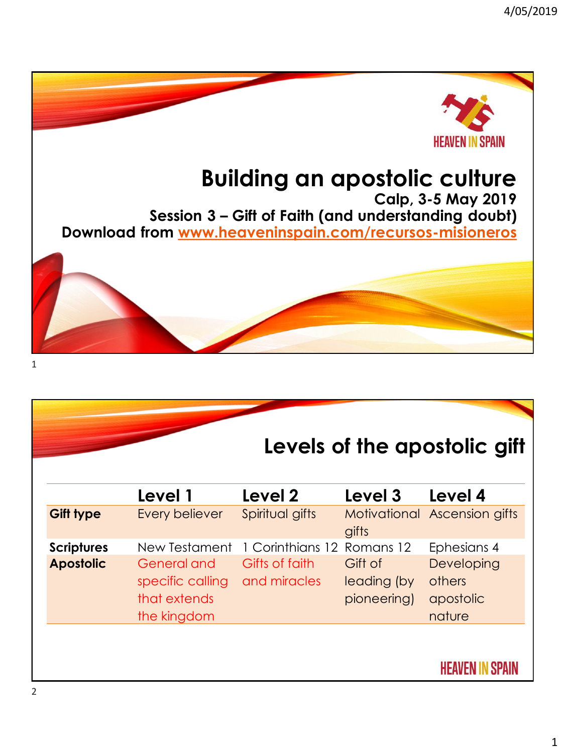





|                   | Level 1          | Level 2                    | Level 3     | Level 4                      |
|-------------------|------------------|----------------------------|-------------|------------------------------|
| <b>Gift type</b>  | Every believer   | Spiritual gifts            | gifts       | Motivational Ascension gifts |
| <b>Scriptures</b> | New Testament    | 1 Corinthians 12 Romans 12 |             | Ephesians 4                  |
| <b>Apostolic</b>  | General and      | Gifts of faith             | Gift of     | Developing                   |
|                   | specific calling | and miracles               | leading (by | others                       |
|                   | that extends     |                            | pioneering) | apostolic                    |
|                   | the kingdom      |                            |             | nature                       |
|                   |                  |                            |             |                              |
|                   |                  |                            |             |                              |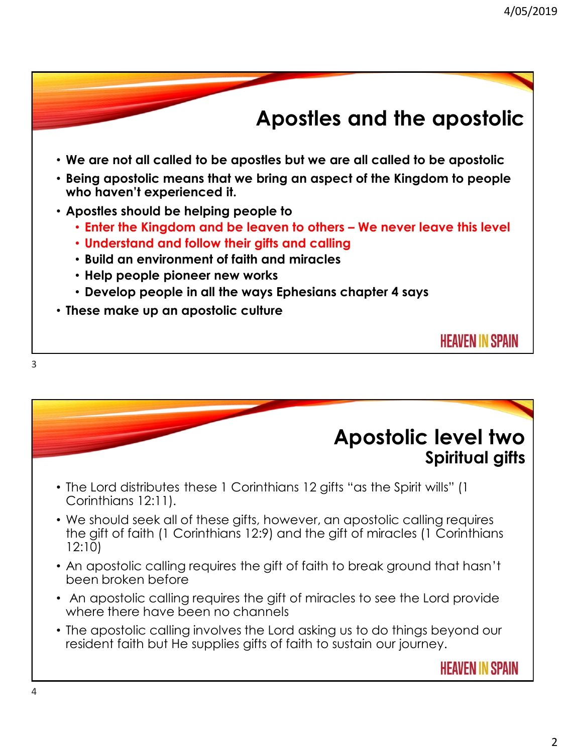## **Apostles and the apostolic**

- **We are not all called to be apostles but we are all called to be apostolic**
- **Being apostolic means that we bring an aspect of the Kingdom to people who haven't experienced it.**
- **Apostles should be helping people to** 
	- **Enter the Kingdom and be leaven to others – We never leave this level**
	- **Understand and follow their gifts and calling**
	- **Build an environment of faith and miracles**
	- **Help people pioneer new works**
	- **Develop people in all the ways Ephesians chapter 4 says**
- **These make up an apostolic culture**

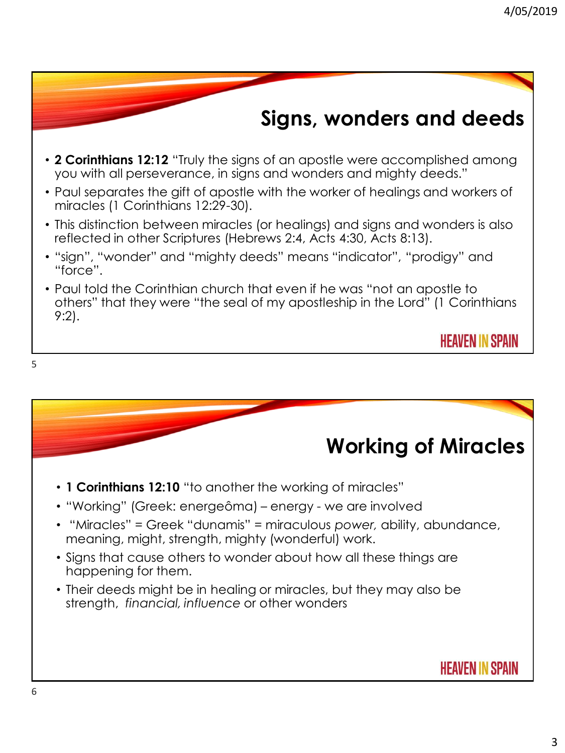### **Signs, wonders and deeds**

- **2 Corinthians 12:12** "Truly the signs of an apostle were accomplished among you with all perseverance, in signs and wonders and mighty deeds."
- Paul separates the gift of apostle with the worker of healings and workers of miracles (1 Corinthians 12:29-30).
- This distinction between miracles (or healings) and signs and wonders is also reflected in other Scriptures (Hebrews 2:4, Acts 4:30, Acts 8:13).
- "sign", "wonder" and "mighty deeds" means "indicator", "prodigy" and "force".
- Paul told the Corinthian church that even if he was "not an apostle to others" that they were "the seal of my apostleship in the Lord" (1 Corinthians 9:2).

5

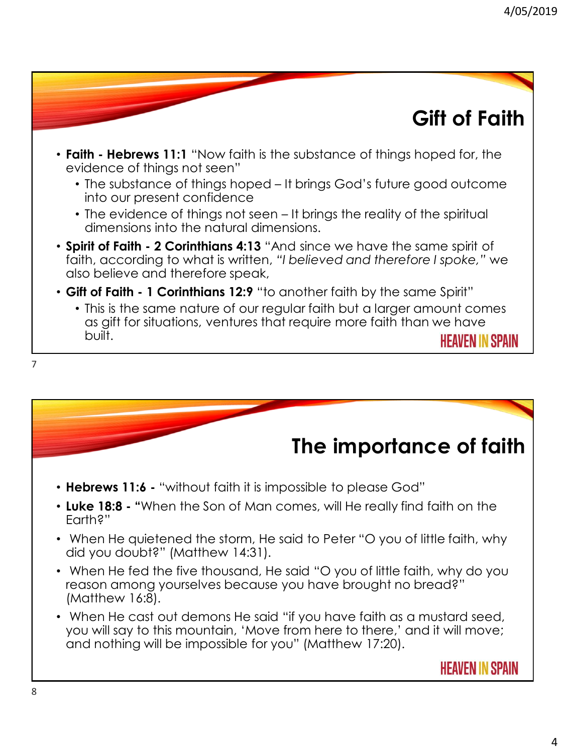## **Gift of Faith**

- **Faith - Hebrews 11:1** "Now faith is the substance of things hoped for, the evidence of things not seen"
	- The substance of things hoped It brings God's future good outcome into our present confidence
	- The evidence of things not seen It brings the reality of the spiritual dimensions into the natural dimensions.
- **Spirit of Faith - 2 Corinthians 4:13** "And since we have the same spirit of faith, according to what is written, *"I believed and therefore I spoke,"* we also believe and therefore speak,
- **Gift of Faith - 1 Corinthians 12:9** "to another faith by the same Spirit"
	- This is the same nature of our regular faith but a larger amount comes as gift for situations, ventures that require more faith than we have built. **HEAVEN IN SPAIN**

7

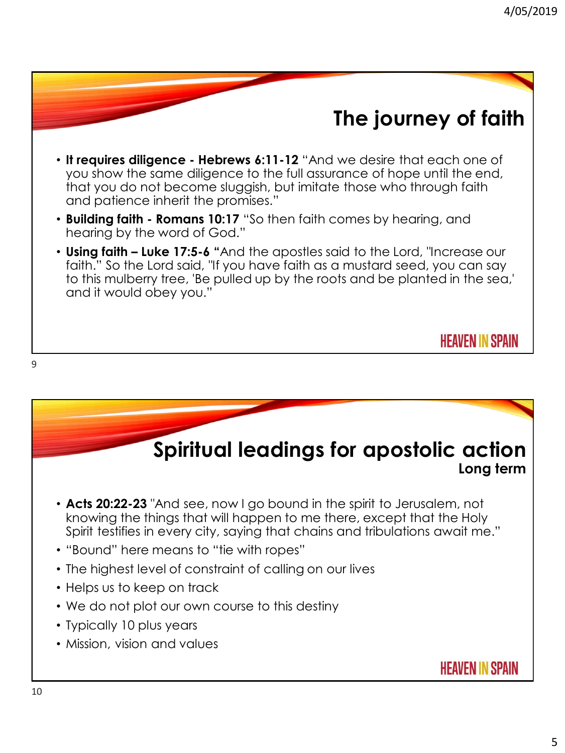## **The journey of faith**

**HEAVEN IN SPAIN** 

- **It requires diligence - Hebrews 6:11-12** "And we desire that each one of you show the same diligence to the full assurance of hope until the end, that you do not become sluggish, but imitate those who through faith and patience inherit the promises."
- **Building faith - Romans 10:17** "So then faith comes by hearing, and hearing by the word of God."
- **Using faith – Luke 17:5-6 "**And the apostles said to the Lord, "Increase our faith." So the Lord said, "If you have faith as a mustard seed, you can say to this mulberry tree, 'Be pulled up by the roots and be planted in the sea,' and it would obey you."

9

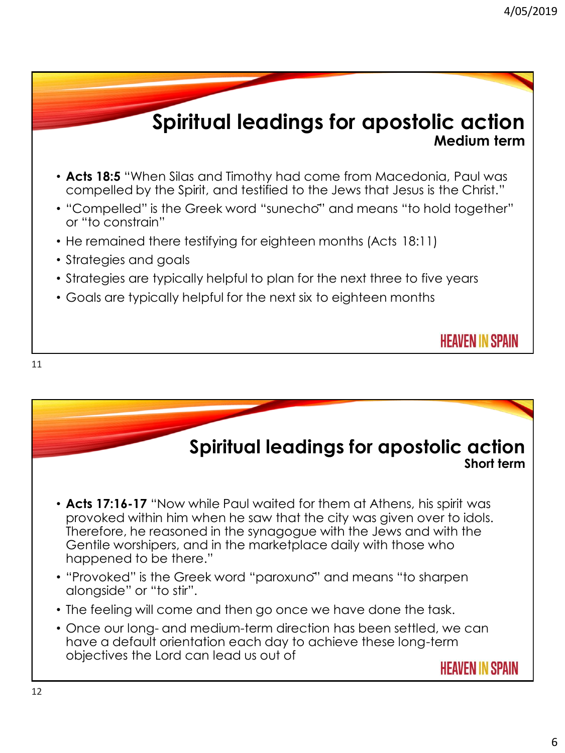### **Spiritual leadings for apostolic action Medium term**

- **Acts 18:5** "When Silas and Timothy had come from Macedonia, Paul was compelled by the Spirit, and testified to the Jews that Jesus is the Christ."
- "Compelled" is the Greek word "sunechō" and means "to hold together" or "to constrain"
- He remained there testifying for eighteen months (Acts 18:11)
- Strategies and goals
- Strategies are typically helpful to plan for the next three to five years
- Goals are typically helpful for the next six to eighteen months

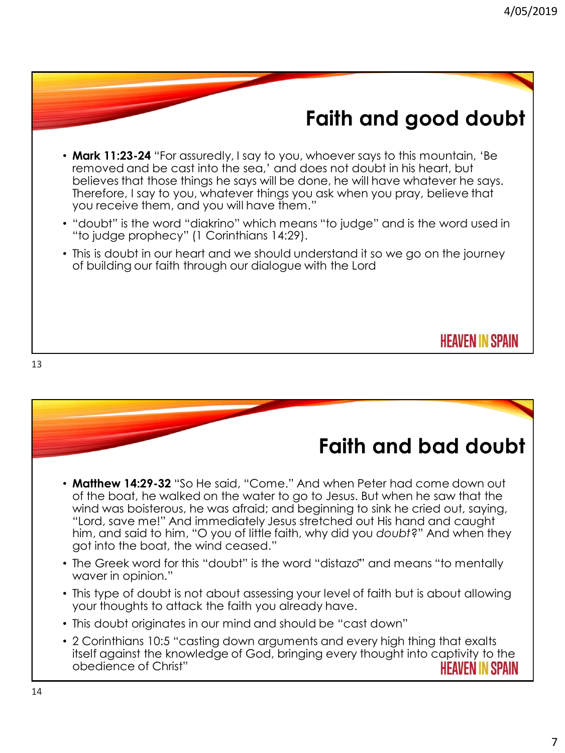### **Faith and good doubt**

- **Mark 11:23-24** "For assuredly, I say to you, whoever says to this mountain, 'Be removed and be cast into the sea,' and does not doubt in his heart, but believes that those things he says will be done, he will have whatever he says. Therefore, I say to you, whatever things you ask when you pray, believe that you receive them, and you will have them."
- "doubt" is the word "diakrino" which means "to judge" and is the word used in "to judge prophecy" (1 Corinthians 14:29).
- This is doubt in our heart and we should understand it so we go on the journey of building our faith through our dialogue with the Lord

#### **HEAVEN IN SPAIN**